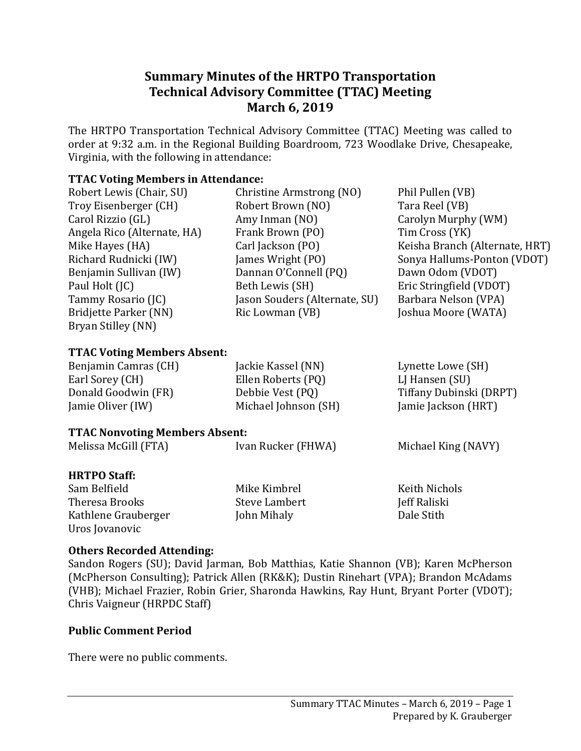# **Summary Minutes of the HRTPO Transportation Technical Advisory Committee (TTAC) Meeting March 6, 2019**

The HRTPO Transportation Technical Advisory Committee (TTAC) Meeting was called to order at 9:32 a.m. in the Regional Building Boardroom, 723 Woodlake Drive, Chesapeake, Virginia, with the following in attendance:

### **TTAC Voting Members in Attendance:**

| Robert Lewis (Chair, SU)           | Phil Pullen (VB)<br>Christine Armstrong (NO) |                                |  |
|------------------------------------|----------------------------------------------|--------------------------------|--|
| Troy Eisenberger (CH)              | Robert Brown (NO)                            | Tara Reel (VB)                 |  |
| Carol Rizzio (GL)                  | Amy Inman (NO)                               | Carolyn Murphy (WM)            |  |
| Angela Rico (Alternate, HA)        | Frank Brown (PO)                             | Tim Cross (YK)                 |  |
| Mike Hayes (HA)                    | Carl Jackson (PO)                            | Keisha Branch (Alternate, HRT) |  |
| Richard Rudnicki (IW)              | James Wright (PO)                            | Sonya Hallums-Ponton (VDOT)    |  |
| Benjamin Sullivan (IW)             | Dannan O'Connell (PQ)                        | Dawn Odom (VDOT)               |  |
| Paul Holt (JC)                     | Beth Lewis (SH)                              | Eric Stringfield (VDOT)        |  |
| Tammy Rosario (JC)                 | Jason Souders (Alternate, SU)                | Barbara Nelson (VPA)           |  |
| Bridjette Parker (NN)              | Joshua Moore (WATA)<br>Ric Lowman (VB)       |                                |  |
| Bryan Stilley (NN)                 |                                              |                                |  |
|                                    |                                              |                                |  |
| <b>TTAC Voting Members Absent:</b> |                                              |                                |  |
| Benjamin Camras (CH)               | Jackie Kassel (NN)                           | Lynette Lowe (SH)              |  |
| Earl Sorey (CH)                    | Ellen Roberts (PQ)                           | LJ Hansen (SU)                 |  |
| Donald Goodwin (FR)                | Debbie Vest (PQ)                             | Tiffany Dubinski (DRPT)        |  |
| Jamie Oliver (IW)                  | Michael Johnson (SH)<br>Jamie Jackson (HRT)  |                                |  |
|                                    |                                              |                                |  |

| <b>TTAC Nonvoting Members Absent:</b> |                      |                      |  |
|---------------------------------------|----------------------|----------------------|--|
| Melissa McGill (FTA)                  | Ivan Rucker (FHWA)   | Michael King (NAVY)  |  |
| <b>HRTPO Staff:</b>                   |                      |                      |  |
| Sam Belfield                          | Mike Kimbrel         | <b>Keith Nichols</b> |  |
| Theresa Brooks                        | <b>Steve Lambert</b> | Jeff Raliski         |  |
| Kathlene Grauberger<br>Uros Jovanovic | John Mihaly          | Dale Stith           |  |
|                                       |                      |                      |  |

### **Others Recorded Attending:**

Sandon Rogers (SU); David Jarman, Bob Matthias, Katie Shannon (VB); Karen McPherson (McPherson Consulting); Patrick Allen (RK&K); Dustin Rinehart (VPA); Brandon McAdams (VHB); Michael Frazier, Robin Grier, Sharonda Hawkins, Ray Hunt, Bryant Porter (VDOT); Chris Vaigneur (HRPDC Staff)

## **Public Comment Period**

There were no public comments.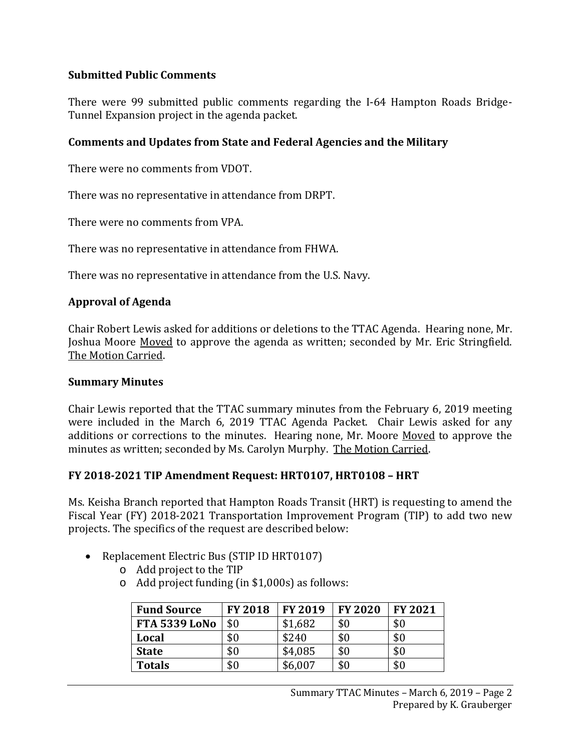## **Submitted Public Comments**

There were 99 submitted public comments regarding the I-64 Hampton Roads Bridge-Tunnel Expansion project in the agenda packet.

### **Comments and Updates from State and Federal Agencies and the Military**

There were no comments from VDOT.

There was no representative in attendance from DRPT.

There were no comments from VPA.

There was no representative in attendance from FHWA.

There was no representative in attendance from the U.S. Navy.

### **Approval of Agenda**

Chair Robert Lewis asked for additions or deletions to the TTAC Agenda. Hearing none, Mr. Joshua Moore Moved to approve the agenda as written; seconded by Mr. Eric Stringfield. The Motion Carried.

#### **Summary Minutes**

Chair Lewis reported that the TTAC summary minutes from the February 6, 2019 meeting were included in the March 6, 2019 TTAC Agenda Packet. Chair Lewis asked for any additions or corrections to the minutes. Hearing none, Mr. Moore Moved to approve the minutes as written; seconded by Ms. Carolyn Murphy. The Motion Carried.

### **FY 2018-2021 TIP Amendment Request: HRT0107, HRT0108 – HRT**

Ms. Keisha Branch reported that Hampton Roads Transit (HRT) is requesting to amend the Fiscal Year (FY) 2018-2021 Transportation Improvement Program (TIP) to add two new projects. The specifics of the request are described below:

- Replacement Electric Bus (STIP ID HRT0107)
	- o Add project to the TIP
	- o Add project funding (in \$1,000s) as follows:

| <b>Fund Source</b>   | <b>FY 2018</b> | <b>FY 2019</b> | <b>FY 2020</b> | <b>FY 2021</b> |
|----------------------|----------------|----------------|----------------|----------------|
| <b>FTA 5339 LoNo</b> | \$0            | \$1,682        | \$0            | \$0            |
| Local                | \$0            | \$240          | \$0            | \$0            |
| <b>State</b>         | \$0            | \$4,085        | \$0            | \$0            |
| <b>Totals</b>        | \$0            | \$6,007        | \$0            | \$0            |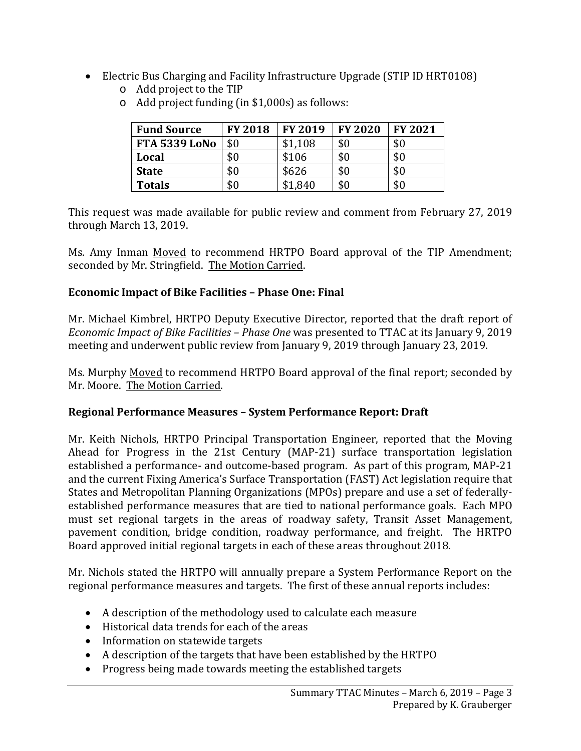- Electric Bus Charging and Facility Infrastructure Upgrade (STIP ID HRT0108)
	- o Add project to the TIP

| <b>Fund Source</b>   | <b>FY 2018</b> | <b>FY 2019</b> | <b>FY 2020</b> | <b>FY 2021</b> |
|----------------------|----------------|----------------|----------------|----------------|
| <b>FTA 5339 LoNo</b> | \$0            | \$1,108        | \$0            | \$0            |
| Local                | \$0            | \$106          | \$0            | \$0            |
| <b>State</b>         | \$0            | \$626          | \$0            | \$0            |
| <b>Totals</b>        | \$0            | \$1,840        | \$0            | \$0            |

o Add project funding (in \$1,000s) as follows:

This request was made available for public review and comment from February 27, 2019 through March 13, 2019.

Ms. Amy Inman Moved to recommend HRTPO Board approval of the TIP Amendment; seconded by Mr. Stringfield. The Motion Carried.

## **Economic Impact of Bike Facilities – Phase One: Final**

Mr. Michael Kimbrel, HRTPO Deputy Executive Director, reported that the draft report of *Economic Impact of Bike Facilities – Phase One* was presented to TTAC at its January 9, 2019 meeting and underwent public review from January 9, 2019 through January 23, 2019.

Ms. Murphy Moved to recommend HRTPO Board approval of the final report; seconded by Mr. Moore. The Motion Carried.

## **Regional Performance Measures – System Performance Report: Draft**

Mr. Keith Nichols, HRTPO Principal Transportation Engineer, reported that the Moving Ahead for Progress in the 21st Century (MAP-21) surface transportation legislation established a performance- and outcome-based program. As part of this program, MAP-21 and the current Fixing America's Surface Transportation (FAST) Act legislation require that States and Metropolitan Planning Organizations (MPOs) prepare and use a set of federallyestablished performance measures that are tied to national performance goals. Each MPO must set regional targets in the areas of roadway safety, Transit Asset Management, pavement condition, bridge condition, roadway performance, and freight. The HRTPO Board approved initial regional targets in each of these areas throughout 2018.

Mr. Nichols stated the HRTPO will annually prepare a System Performance Report on the regional performance measures and targets. The first of these annual reports includes:

- A description of the methodology used to calculate each measure
- Historical data trends for each of the areas
- Information on statewide targets
- A description of the targets that have been established by the HRTPO
- Progress being made towards meeting the established targets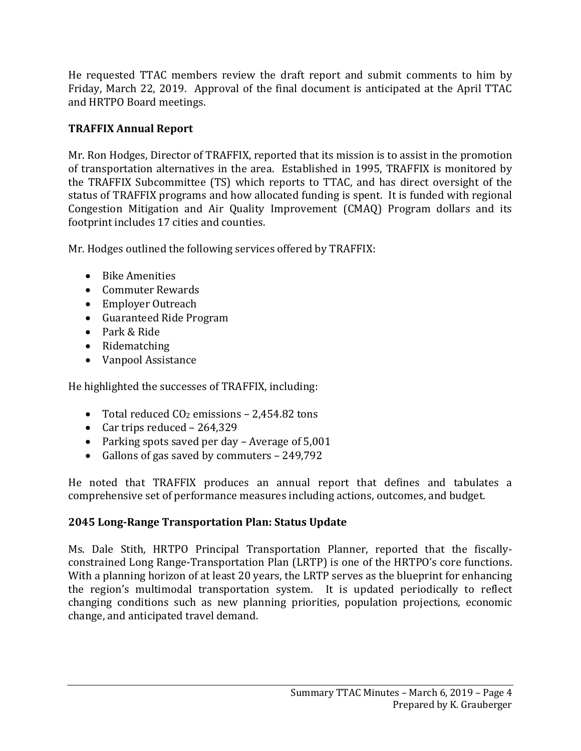He requested TTAC members review the draft report and submit comments to him by Friday, March 22, 2019. Approval of the final document is anticipated at the April TTAC and HRTPO Board meetings.

## **TRAFFIX Annual Report**

Mr. Ron Hodges, Director of TRAFFIX, reported that its mission is to assist in the promotion of transportation alternatives in the area. Established in 1995, TRAFFIX is monitored by the TRAFFIX Subcommittee (TS) which reports to TTAC, and has direct oversight of the status of TRAFFIX programs and how allocated funding is spent. It is funded with regional Congestion Mitigation and Air Quality Improvement (CMAQ) Program dollars and its footprint includes 17 cities and counties.

Mr. Hodges outlined the following services offered by TRAFFIX:

- Bike Amenities
- Commuter Rewards
- Employer Outreach
- Guaranteed Ride Program
- Park & Ride
- Ridematching
- Vanpool Assistance

He highlighted the successes of TRAFFIX, including:

- Total reduced  $CO<sub>2</sub>$  emissions 2,454.82 tons
- Car trips reduced 264,329
- Parking spots saved per day Average of 5,001
- Gallons of gas saved by commuters 249,792

He noted that TRAFFIX produces an annual report that defines and tabulates a comprehensive set of performance measures including actions, outcomes, and budget.

## **2045 Long-Range Transportation Plan: Status Update**

Ms. Dale Stith, HRTPO Principal Transportation Planner, reported that the fiscallyconstrained Long Range-Transportation Plan (LRTP) is one of the HRTPO's core functions. With a planning horizon of at least 20 years, the LRTP serves as the blueprint for enhancing the region's multimodal transportation system. It is updated periodically to reflect changing conditions such as new planning priorities, population projections, economic change, and anticipated travel demand.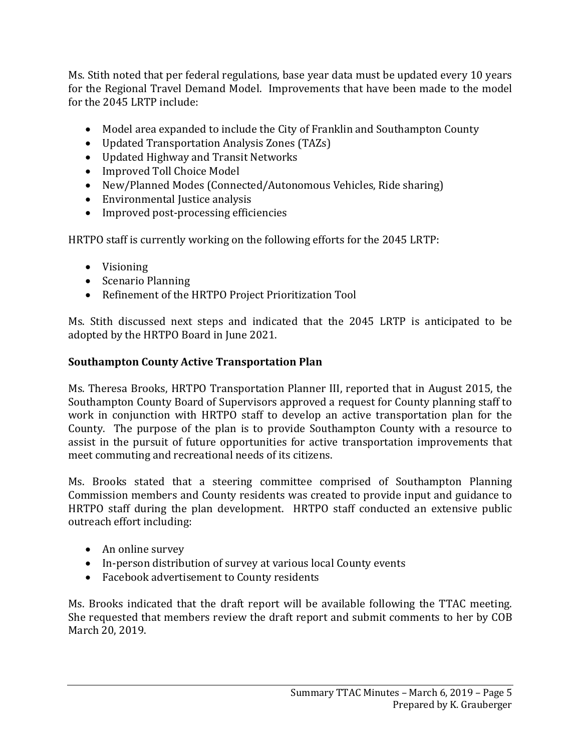Ms. Stith noted that per federal regulations, base year data must be updated every 10 years for the Regional Travel Demand Model. Improvements that have been made to the model for the 2045 LRTP include:

- Model area expanded to include the City of Franklin and Southampton County
- Updated Transportation Analysis Zones (TAZs)
- Updated Highway and Transit Networks
- Improved Toll Choice Model
- New/Planned Modes (Connected/Autonomous Vehicles, Ride sharing)
- Environmental Justice analysis
- Improved post-processing efficiencies

HRTPO staff is currently working on the following efforts for the 2045 LRTP:

- Visioning
- Scenario Planning
- Refinement of the HRTPO Project Prioritization Tool

Ms. Stith discussed next steps and indicated that the 2045 LRTP is anticipated to be adopted by the HRTPO Board in June 2021.

## **Southampton County Active Transportation Plan**

Ms. Theresa Brooks, HRTPO Transportation Planner III, reported that in August 2015, the Southampton County Board of Supervisors approved a request for County planning staff to work in conjunction with HRTPO staff to develop an active transportation plan for the County. The purpose of the plan is to provide Southampton County with a resource to assist in the pursuit of future opportunities for active transportation improvements that meet commuting and recreational needs of its citizens.

Ms. Brooks stated that a steering committee comprised of Southampton Planning Commission members and County residents was created to provide input and guidance to HRTPO staff during the plan development. HRTPO staff conducted an extensive public outreach effort including:

- An online survey
- In-person distribution of survey at various local County events
- Facebook advertisement to County residents

Ms. Brooks indicated that the draft report will be available following the TTAC meeting. She requested that members review the draft report and submit comments to her by COB March 20, 2019.